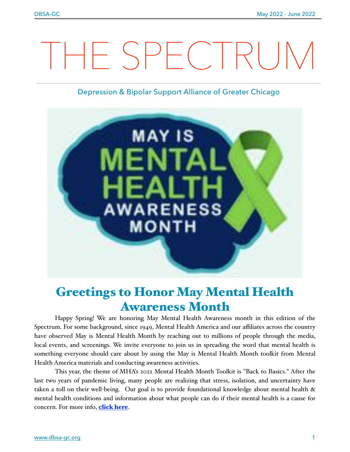# THE SPECTRUM

### Depression & Bipolar Support Alliance of Greater Chicago



# Greetings to Honor May Mental Health Awareness Month

Happy Spring! We are honoring May Mental Health Awareness month in this edition of the Spectrum. For some background, since 1949, Mental Health America and our affiliates across the country have observed May is Mental Health Month by reaching out to millions of people through the media, local events, and screenings. We invite everyone to join us in spreading the word that mental health is something everyone should care about by using the May is Mental Health Month toolkit from Mental Health America materials and conducting awareness activities.

This year, the theme of MHA's 2022 Mental Health Month Toolkit is "Back to Basics." After the last two years of pandemic living, many people are realizing that stress, isolation, and uncertainty have taken a toll on their well-being. Our goal is to provide foundational knowledge about mental health & mental health conditions and information about what people can do if their mental health is a cause for concern. For more info, **[click here](https://www.mhanational.org/mental-health-month)**.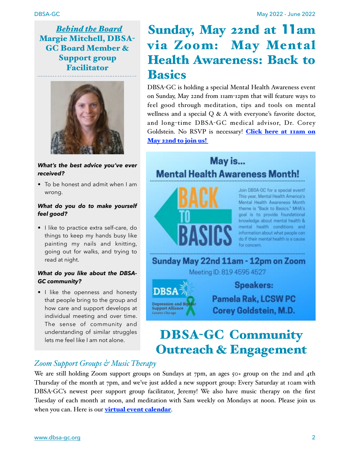. . . . . . . . . . . . . . . . . .

 *Behind the Board* Margie Mitchell, DBSA-GC Board Member & Support group Facilitator



*What's the best advice you've ever received?*

• To be honest and admit when I am wrong.

### *What do you do to make yourself feel good?*

• I like to practice extra self-care, do things to keep my hands busy like painting my nails and knitting, going out for walks, and trying to read at night.

### *What do you like about the DBSA-GC community?*

• I like the openness and honesty that people bring to the group and how care and support develops at individual meeting and over time. The sense of community and understanding of similar struggles lets me feel like I am not alone.

# Sunday, May 22nd at **11**am via Zoom: May Mental Health Awareness: Back to Basics

DBSA-GC is holding a special Mental Health Awareness event on Sunday, May 22nd from 11am-12pm that will feature ways to feel good through meditation, tips and tools on mental wellness and a special Q & A with everyone's favorite doctor, and long-time DBSA-GC medical advisor, Dr. Corey Goldstein. No RSVP is necessary! [Click here at 11am on](https://us02web.zoom.us/j/81945954527) [May 22nd to join us!](https://us02web.zoom.us/j/81945954527)

## May is... **Mental Health Awareness Month!**



Join DBSA-GC for a special event! This year, Mental Health America's Mental Health Awareness Month theme is "Back to Basics." MHA's goal is to provide foundational knowledge about mental health & mental health conditions and information about what people can do if their mental health is a cause

Sunday May 22nd 11am - 12pm on Zoom



**Pamela Rak, LCSW PC** 

Corey Goldstein, M.D.

# DBSA-GC Community Outreach & Engagement

### *Zoom Support Groups & Music Therapy*

We are still holding Zoom support groups on Sundays at 7pm, an ages 50+ group on the 2nd and 4th Thursday of the month at 7pm, and we've just added a new support group: Every Saturday at 10am with DBSA-GC's newest peer support group facilitator, Jeremy! We also have music therapy on the first Tuesday of each month at noon, and meditation with Sam weekly on Mondays at noon. Please join us when you can. Here is our **[virtual event calendar](https://www.dbsa-gc.org/events-calendar)**.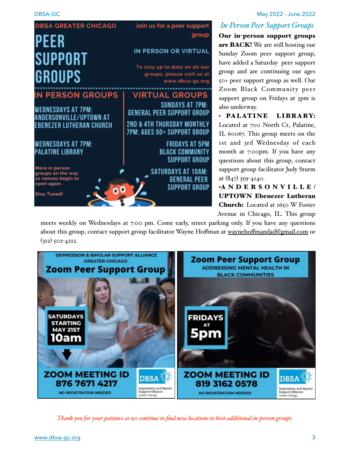

### *In-Person Peer Support Groups*

Our in-person support groups are BACK! We are still hosting our Sunday Zoom peer support group, have added a Saturday peer support group and are continuing our ages 50+ peer support group as well. Our Zoom Black Community peer support group on Fridays at 5pm is also underway.

• PALATINE LIBRARY: Located at 700 North Ct, Palatine, IL 60067. This group meets on the 1st and 3rd Wednesday of each month at 7:00pm. If you have any questions about this group, contact support group facilitator Judy Sturm at (847) 359-4140.

•ANDERSONVILLE/ UPTOWN Ebenezer Lutheran Church: Located at 1650 W Foster Avenue in Chicago, IL. This group

meets weekly on Wednesdays at 7:00 pm. Come early, street parking only. If you have any questions about this group, contact support group facilitator Wayne Hoffman at waynehoff[mandad@gmail.com](mailto:waynehoffmandad@gmail.com) or  $(312)$  502-4212.



*Thank you for your patience as we continue to find new locations to host additional in-person groups.*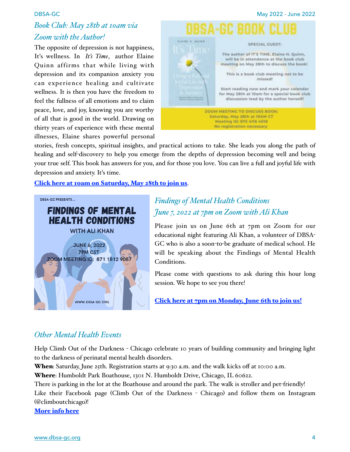### *Book Club: May 28th at 10am via Zoom with the Author!*

The opposite of depression is not happiness, It's wellness. In *It's Time*, author Elaine Quinn affirms that while living with depression and its companion anxiety you can experience healing and cultivate wellness. It is then you have the freedom to feel the fullness of all emotions and to claim peace, love, and joy, knowing you are worthy of all that is good in the world. Drawing on thirty years of experience with these mental illnesses, Elaine shares powerful personal



stories, fresh concepts, spiritual insights, and practical actions to take. She leads you along the path of healing and self-discovery to help you emerge from the depths of depression becoming well and being your true self. This book has answers for you, and for those you love. You can live a full and joyful life with depression and anxiety. It's time.

[Click here at 10am on Saturday, May 28th to join us](https://us02web.zoom.us/j/87541164018).



### *Findings of Mental Health Conditions June 7, 2022 at 7pm on Zoom with Ali Khan*

Please join us on June 6th at 7pm on Zoom for our educational night featuring Ali Khan, a volunteer of DBSA-GC who is also a soon-to-be graduate of medical school. He will be speaking about the Findings of Mental Health Conditions.

Please come with questions to ask during this hour long session. We hope to see you there!

[Click here at 7pm on Monday, June 6th to join us!](https://us02web.zoom.us/j/87118129087)

### *Other Mental Health Events*

Help Climb Out of the Darkness - Chicago celebrate 10 years of building community and bringing light to the darkness of perinatal mental health disorders.

When: Saturday, June 25th. Registration starts at 9:30 a.m. and the walk kicks off at 10:00 a.m.

Where: Humboldt Park Boathouse, 1301 N. Humboldt Drive, Chicago, IL 60622.

There is parking in the lot at the Boathouse and around the park. The walk is stroller and pet-friendly! Like their Facebook page (Climb Out of the Darkness - Chicago) and follow them on Instagram (@climboutchicago)!

[More info here](https://climbout2022.causevox.com/team/climb-out-chicago)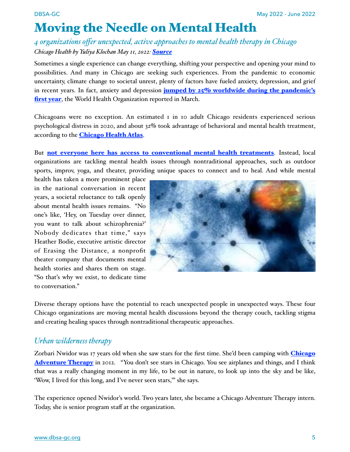# Moving the Needle on Mental Health

### *4 organizations offer unexpected, active approaches to mental health therapy in Chicago Chicago Health by Yuliya Klochan May 11, 2022: [Source](https://chicagohealthonline.com/moving-the-needle-on-mental-health/)*

Sometimes a single experience can change everything, shifting your perspective and opening your mind to possibilities. And many in Chicago are seeking such experiences. From the pandemic to economic uncertainty, climate change to societal unrest, plenty of factors have fueled anxiety, depression, and grief in recent years. In fact, anxiety and depression **jumped by**  $25\%$  **worldwide during the pandemic's** [first year](https://www.who.int/news/item/02-03-2022-covid-19-pandemic-triggers-25-increase-in-prevalence-of-anxiety-and-depression-worldwide), the World Health Organization reported in March.

Chicagoans were no exception. An estimated 1 in 10 adult Chicago residents experienced serious psychological distress in 2020, and about 32% took advantage of behavioral and mental health treatment, according to the **[Chicago Health Atlas](https://chicagohealthatlas.org/)**.

But [not everyone here has access to conventional mental health treatments](https://chicagohealthonline.com/black-minds-matter/). Instead, local organizations are tackling mental health issues through nontraditional approaches, such as outdoor sports, improv, yoga, and theater, providing unique spaces to connect and to heal. And while mental

health has taken a more prominent place in the national conversation in recent years, a societal reluctance to talk openly about mental health issues remains. "No one's like, 'Hey, on Tuesday over dinner, you want to talk about schizophrenia?' Nobody dedicates that time," says Heather Bodie, executive artistic director of Erasing the Distance, a nonprofit theater company that documents mental health stories and shares them on stage. "So that's why we exist, to dedicate time to conversation."



Diverse therapy options have the potential to reach unexpected people in unexpected ways. These four Chicago organizations are moving mental health discussions beyond the therapy couch, tackling stigma and creating healing spaces through nontraditional therapeutic approaches.

### *Urban wilderness therapy*

Zorbari Nwidor was 17 years old when she saw stars for the first time. She'd been camping with **[Chicago](https://www.chicagoadventuretherapy.org/)** [Adventure Therapy](https://www.chicagoadventuretherapy.org/) in 2012. "You don't see stars in Chicago. You see airplanes and things, and I think that was a really changing moment in my life, to be out in nature, to look up into the sky and be like, 'Wow, I lived for this long, and I've never seen stars,'" she says.

The experience opened Nwidor's world. Two years later, she became a Chicago Adventure Therapy intern. Today, she is senior program staff at the organization.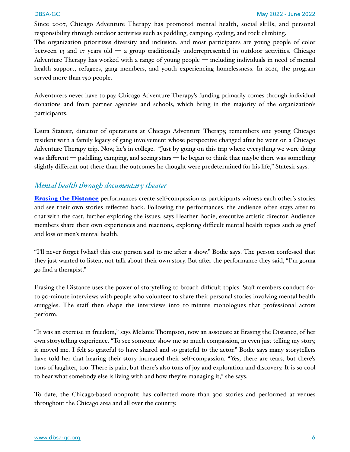Since 2007, Chicago Adventure Therapy has promoted mental health, social skills, and personal responsibility through outdoor activities such as paddling, camping, cycling, and rock climbing.

The organization prioritizes diversity and inclusion, and most participants are young people of color between 13 and 17 years old  $\overline{a}$  a group traditionally underrepresented in outdoor activities. Chicago Adventure Therapy has worked with a range of young people — including individuals in need of mental health support, refugees, gang members, and youth experiencing homelessness. In 2021, the program served more than 750 people.

Adventurers never have to pay. Chicago Adventure Therapy's funding primarily comes through individual donations and from partner agencies and schools, which bring in the majority of the organization's participants.

Laura Statesir, director of operations at Chicago Adventure Therapy, remembers one young Chicago resident with a family legacy of gang involvement whose perspective changed after he went on a Chicago Adventure Therapy trip. Now, he's in college. "Just by going on this trip where everything we were doing was different — paddling, camping, and seeing stars — he began to think that maybe there was something slightly different out there than the outcomes he thought were predetermined for his life," Statesir says.

### *Mental health through documentary theater*

[Erasing the Distance](https://www.erasingthedistance.org/) performances create self-compassion as participants witness each other's stories and see their own stories reflected back. Following the performances, the audience often stays after to chat with the cast, further exploring the issues, says Heather Bodie, executive artistic director. Audience members share their own experiences and reactions, exploring difficult mental health topics such as grief and loss or men's mental health.

"I'll never forget [what] this one person said to me after a show," Bodie says. The person confessed that they just wanted to listen, not talk about their own story. But after the performance they said, "I'm gonna go find a therapist."

Erasing the Distance uses the power of storytelling to broach difficult topics. Staff members conduct 60 to 90-minute interviews with people who volunteer to share their personal stories involving mental health struggles. The staff then shape the interviews into 10-minute monologues that professional actors perform.

"It was an exercise in freedom," says Melanie Thompson, now an associate at Erasing the Distance, of her own storytelling experience. "To see someone show me so much compassion, in even just telling my story, it moved me. I felt so grateful to have shared and so grateful to the actor." Bodie says many storytellers have told her that hearing their story increased their self-compassion. "Yes, there are tears, but there's tons of laughter, too. There is pain, but there's also tons of joy and exploration and discovery. It is so cool to hear what somebody else is living with and how they're managing it," she says.

To date, the Chicago-based nonprofit has collected more than 300 stories and performed at venues throughout the Chicago area and all over the country.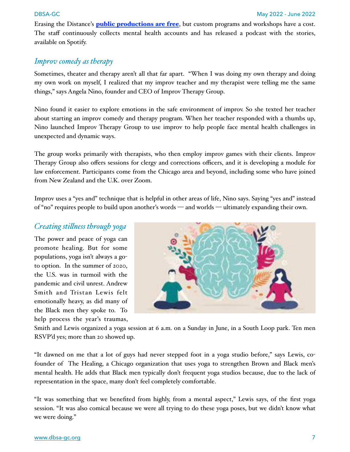Erasing the Distance's **[public productions are free](https://www.erasingthedistance.org/events)**, but custom programs and workshops have a cost. The staff continuously collects mental health accounts and has released a podcast with the stories, available on Spotify.

### *Improv comedy as therapy*

Sometimes, theater and therapy aren't all that far apart. "When I was doing my own therapy and doing my own work on myself, I realized that my improv teacher and my therapist were telling me the same things," says Angela Nino, founder and CEO of [Improv Therapy Group.](https://improvtherapygroup.com/)

Nino found it easier to explore emotions in the safe environment of improv. So she texted her teacher about starting an improv comedy and therapy program. When her teacher responded with a thumbs up, Nino launched Improv Therapy Group to use improv to help people face mental health challenges in unexpected and dynamic ways.

The group works primarily with therapists, who then employ improv games with their clients. Improv Therapy Group also offers sessions for clergy and corrections officers, and it is developing a module for law enforcement. Participants come from the Chicago area and beyond, including some who have joined from New Zealand and the U.K. over Zoom.

Improv uses a "yes and" technique that is helpful in other areas of life, Nino says. Saying "yes and" instead of "no" requires people to build upon another's words — and worlds — ultimately expanding their own.

### *Creating sti#ness through yoga*

The power and peace of yoga can promote healing. But for some populations, yoga isn't always a goto option. In the summer of 2020, the U.S. was in turmoil with the pandemic and civil unrest. Andrew Smith and Tristan Lewis felt emotionally heavy, as did many of the Black men they spoke to. To help process the year's traumas,



Smith and Lewis organized a yoga session at 6 a.m. on a Sunday in June, in a South Loop park. Ten men RSVP'd yes; more than 20 showed up.

"It dawned on me that a lot of guys had never stepped foot in a yoga studio before," says Lewis, cofounder of [The Healing,](https://www.thehealingchi.com/) a Chicago organization that uses yoga to strengthen Brown and Black men's mental health. He adds that Black men typically don't frequent yoga studios because, due to the lack of representation in the space, many don't feel completely comfortable.

"It was something that we benefited from highly, from a mental aspect," Lewis says, of the first yoga session. "It was also comical because we were all trying to do these yoga poses, but we didn't know what we were doing."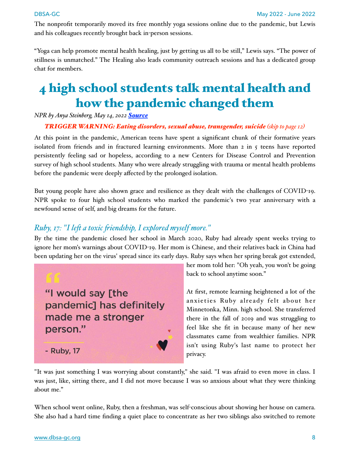The nonprofit temporarily moved its free monthly yoga sessions online due to the pandemic, but Lewis and his colleagues recently brought back in-person sessions.

"Yoga can help promote mental health healing, just by getting us all to be still," Lewis says. "The power of stillness is unmatched." The Healing also leads community outreach sessions and has a dedicated group chat for members.

# 4 high school students talk mental health and how the pandemic changed them

*NPR by Anya Steinberg, May 14, 2022 [Source](https://www.npr.org/2022/05/14/1093737862/covid19-mental-health-students)*

**TRIGGER WARNING: Eating disorders, sexual abuse, transgender, suicide (skip to page 12)** 

At this point in the pandemic, American teens have spent a significant chunk of their formative years isolated from friends and in fractured learning environments. More than  $2$  in  $5$  teens have reported persistently feeling sad or hopeless, according to a new Centers for Disease Control and Prevention [survey of high school students](https://www.cdc.gov/mmwr/volumes/71/su/pdfs/su7103a1-a5-H.pdf). Many who were already struggling with trauma or mental health problems before the pandemic were deeply affected by the prolonged isolation.

But young people have also shown grace and resilience as they dealt with the challenges of COVID-19. NPR spoke to four high school students who marked the pandemic's two year anniversary with a newfound sense of self, and big dreams for the future.

### *Ruby, 17: "I le& a toxic 'iendship, I explored myself more."*

By the time the pandemic closed her school in March 2020, Ruby had already spent weeks trying to ignore her mom's warnings about COVID-19. Her mom is Chinese, and their relatives back in China had been updating her on the virus' spread since its early days. Ruby says when her spring break got extended,



her mom told her: "Oh yeah, you won't be going back to school anytime soon."

At first, remote learning heightened a lot of the anxieties Ruby already felt about her Minnetonka, Minn. high school. She transferred there in the fall of 2019 and was struggling to feel like she fit in because many of her new classmates came from wealthier families. NPR isn't using Ruby's last name to protect her privacy.

"It was just something I was worrying about constantly," she said. "I was afraid to even move in class. I was just, like, sitting there, and I did not move because I was so anxious about what they were thinking about me."

When school went online, Ruby, then a freshman, was self-conscious about showing her house on camera. She also had a hard time finding a quiet place to concentrate as her two siblings also switched to remote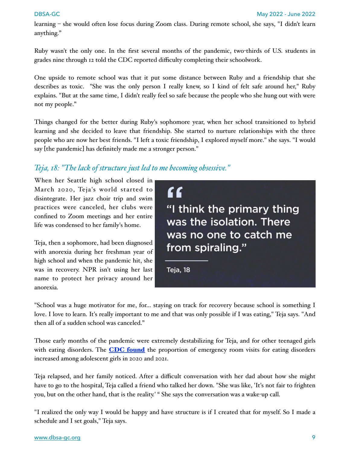learning – she would often lose focus during Zoom class. During remote school, she says, "I didn't learn anything."

Ruby wasn't the only one. In the first several months of the pandemic, two-thirds of U.S. students in grades nine through 12 [told the CDC](https://www.cdc.gov/mmwr/volumes/71/su/su7103a5.htm?s_cid=su7103a5_w) reported difficulty completing their schoolwork.

One upside to remote school was that it put some distance between Ruby and a friendship that she describes as toxic. "She was the only person I really knew, so I kind of felt safe around her," Ruby explains. "But at the same time, I didn't really feel so safe because the people who she hung out with were not my people."

Things changed for the better during Ruby's sophomore year, when her school transitioned to hybrid learning and she decided to leave that friendship. She started to nurture relationships with the three people who are now her best friends. "I left a toxic friendship, I explored myself more." she says. "I would say [the pandemic] has definitely made me a stronger person."

### *Teja, 18: "The lack of structure just led to me becoming obsessive."*

When her Seattle high school closed in March 2020, Teja's world started to disintegrate. Her jazz choir trip and swim practices were canceled, her clubs were confined to Zoom meetings and her entire life was condensed to her family's home.

Teja, then a sophomore, had been diagnosed with anorexia during her freshman year of high school and when the pandemic hit, she was in recovery. NPR isn't using her last name to protect her privacy around her anorexia.



"School was a huge motivator for me, for... staying on track for recovery because school is something I love. I love to learn. It's really important to me and that was only possible if I was eating," Teja says. "And then all of a sudden school was canceled."

Those early months of the pandemic were extremely destabilizing for Teja, and for other teenaged girls with eating disorders. The **[CDC found](https://www.cdc.gov/mmwr/volumes/71/wr/mm7108e2.htm)** the proportion of emergency room visits for eating disorders increased among adolescent girls in 2020 and 2021.

Teja relapsed, and her family noticed. After a difficult conversation with her dad about how she might have to go to the hospital, Teja called a friend who talked her down. "She was like, 'It's not fair to frighten you, but on the other hand, that is the reality.' " She says the conversation was a wake-up call.

"I realized the only way I would be happy and have structure is if I created that for myself. So I made a schedule and I set goals," Teja says.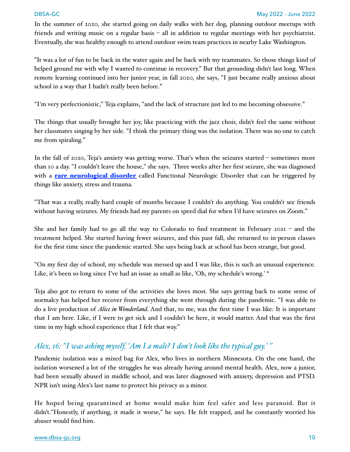In the summer of 2020, she started going on daily walks with her dog, planning outdoor meetups with friends and writing music on a regular basis – all in addition to regular meetings with her psychiatrist. Eventually, she was healthy enough to attend outdoor swim team practices in nearby Lake Washington.

"It was a lot of fun to be back in the water again and be back with my teammates. So those things kind of helped ground me with why I wanted to continue in recovery." But that grounding didn't last long. When remote learning continued into her junior year, in fall 2020, she says, "I just became really anxious about school in a way that I hadn't really been before."

"I'm very perfectionistic," Teja explains, "and the lack of structure just led to me becoming obsessive."

The things that usually brought her joy, like practicing with the jazz choir, didn't feel the same without her classmates singing by her side. "I think the primary thing was the isolation. There was no one to catch me from spiraling."

In the fall of 2020, Teja's anxiety was getting worse. That's when the seizures started – sometimes more than 10 a day. "I couldn't leave the house," she says. Three weeks after her first seizure, she was diagnosed with a **[rare neurological disorder](https://www.ninds.nih.gov/Disorders/Patient-Caregiver-Education/Fact-Sheets/Functional-Neurologic-Disorder)** called Functional Neurologic Disorder that can be triggered by things like anxiety, stress and trauma.

"That was a really, really hard couple of months because I couldn't do anything. You couldn't see friends without having seizures. My friends had my parents on speed dial for when I'd have seizures on Zoom."

She and her family had to go all the way to Colorado to find treatment in February 2021 – and the treatment helped. She started having fewer seizures, and this past fall, she returned to in-person classes for the first time since the pandemic started. She says being back at school has been strange, but good.

"On my first day of school, my schedule was messed up and I was like, this is such an unusual experience. Like, it's been so long since I've had an issue as small as like, 'Oh, my schedule's wrong.' "

Teja also got to return to some of the activities she loves most. She says getting back to some sense of normalcy has helped her recover from everything she went through during the pandemic. "I was able to do a live production of *Alice in Wonderland*. And that, to me, was the first time I was like: It is important that I am here. Like, if I were to get sick and I couldn't be here, it would matter. And that was the first time in my high school experience that I felt that way."

### *Alex, 16: "I was asking myself, 'Am I a male? I don't look like the typical guy.' "*

Pandemic isolation was a mixed bag for Alex, who lives in northern Minnesota. On the one hand, the isolation worsened a lot of the struggles he was already having around mental health. Alex, now a junior, had been sexually abused in middle school, and was later diagnosed with anxiety, depression and PTSD. NPR isn't using Alex's last name to protect his privacy as a minor.

He hoped being quarantined at home would make him feel safer and less paranoid. But it didn't."Honestly, if anything, it made it worse," he says. He felt trapped, and he constantly worried his abuser would find him.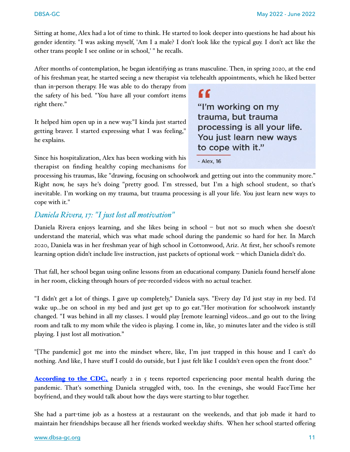Sitting at home, Alex had a lot of time to think. He started to look deeper into questions he had about his gender identity. "I was asking myself, 'Am I a male? I don't look like the typical guy. I don't act like the other trans people I see online or in school,' " he recalls.

After months of contemplation, he began identifying as trans masculine. Then, in spring 2020, at the end of his freshman year, he started seeing a new therapist via telehealth appointments, which he liked better

than in-person therapy. He was able to do therapy from the safety of his bed. "You have all your comfort items right there."

It helped him open up in a new way."I kinda just started getting braver. I started expressing what I was feeling," he explains.

Since his hospitalization, Alex has been working with his therapist on finding healthy coping mechanisms for

"I'm working on my trauma, but trauma processing is all your life. You just learn new ways to cope with it."

- Alex, 16

"

processing his traumas, like "drawing, focusing on schoolwork and getting out into the community more." Right now, he says he's doing "pretty good. I'm stressed, but I'm a high school student, so that's inevitable. I'm working on my trauma, but trauma processing is all your life. You just learn new ways to cope with it."

### *Daniela Rivera, 17: "I just lost a# motivation"*

Daniela Rivera enjoys learning, and she likes being in school – but not so much when she doesn't understand the material, which was what made school during the pandemic so hard for her. In March 2020, Daniela was in her freshman year of high school in Cottonwood, Ariz. At first, her school's remote learning option didn't include live instruction, just packets of optional work – which Daniela didn't do.

That fall, her school began using online lessons from an educational company. Daniela found herself alone in her room, clicking through hours of pre-recorded videos with no actual teacher.

"I didn't get a lot of things. I gave up completely," Daniela says. "Every day I'd just stay in my bed. I'd wake up...be on school in my bed and just get up to go eat."Her motivation for schoolwork instantly changed. "I was behind in all my classes. I would play [remote learning] videos...and go out to the living room and talk to my mom while the video is playing. I come in, like, 30 minutes later and the video is still playing. I just lost all motivation."

"[The pandemic] got me into the mindset where, like, I'm just trapped in this house and I can't do nothing. And like, I have stuff I could do outside, but I just felt like I couldn't even open the front door."

**According to the CDC**, nearly 2 in 5 teens reported experiencing poor mental health during the pandemic. That's something Daniela struggled with, too. In the evenings, she would FaceTime her boyfriend, and they would talk about how the days were starting to blur together.

She had a part-time job as a hostess at a restaurant on the weekends, and that job made it hard to maintain her friendships because all her friends worked weekday shifts. When her school started offering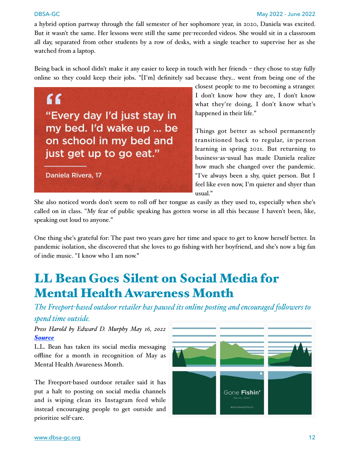a hybrid option partway through the fall semester of her sophomore year, in 2020, Daniela was excited. But it wasn't the same. Her lessons were still the same pre-recorded videos. She would sit in a classroom all day, separated from other students by a row of desks, with a single teacher to supervise her as she watched from a laptop.

Being back in school didn't make it any easier to keep in touch with her friends – they chose to stay fully online so they could keep their jobs. "[I'm] definitely sad because they... went from being one of the

 $66$ "Every day I'd just stay in my bed. I'd wake up ... be on school in my bed and just get up to go eat."

Daniela Rivera, 17

closest people to me to becoming a stranger. I don't know how they are, I don't know what they're doing, I don't know what's happened in their life."

Things got better as school permanently transitioned back to regular, in-person learning in spring 2021. But returning to business-as-usual has made Daniela realize how much she changed over the pandemic. "I've always been a shy, quiet person. But I feel like even now, I'm quieter and shyer than  $11$ usual."

She also noticed words don't seem to roll off her tongue as easily as they used to, especially when she's called on in class. "My fear of public speaking has gotten worse in all this because I haven't been, like, speaking out loud to anyone."

One thing she's grateful for: The past two years gave her time and space to get to know herself better. In pandemic isolation, she discovered that she loves to go fishing with her boyfriend, and she's now a big fan of indie music. "I know who I am now."

# LL Bean Goes Silent on Social Media for Mental Health Awareness Month

*The Freeport-based outdoor retailer has paused its online posting and encouraged fo#owers to spend time outside.*

*Press Harold by Edward D. Murphy May 16, 2022 [Source](https://www.pressherald.com/2022/05/16/l-l-bean-goes-silent-on-social-media-for-mental-health-awareness-month/)*

L.L. Bean has taken its social media messaging offline for a month in recognition of May as Mental Health Awareness Month.

The Freeport-based outdoor retailer said it has put a halt to posting on social media channels and is wiping clean its Instagram feed while instead encouraging people to get outside and prioritize self-care.

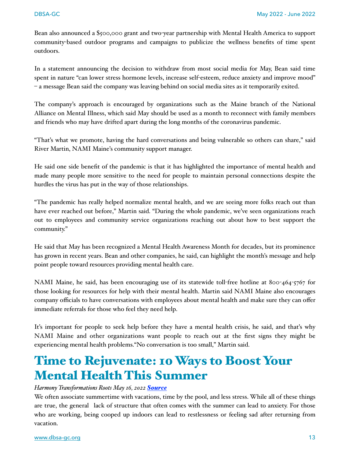Bean also announced a \$500,000 grant and two-year partnership with Mental Health America to support community-based outdoor programs and campaigns to publicize the wellness benefits of time spent outdoors.

In a statement announcing the decision to withdraw from most social media for May, Bean said time spent in nature "can lower stress hormone levels, increase self-esteem, reduce anxiety and improve mood" – a message Bean said the company was leaving behind on social media sites as it temporarily exited.

The company's approach is encouraged by organizations such as the Maine branch of the National Alliance on Mental Illness, which said May should be used as a month to reconnect with family members and friends who may have drifted apart during the long months of the coronavirus pandemic.

"That's what we promote, having the hard conversations and being vulnerable so others can share," said River Martin, NAMI Maine's community support manager.

He said one side benefit of the pandemic is that it has highlighted the importance of mental health and made many people more sensitive to the need for people to maintain personal connections despite the hurdles the virus has put in the way of those relationships.

"The pandemic has really helped normalize mental health, and we are seeing more folks reach out than have ever reached out before," Martin said. "During the whole pandemic, we've seen organizations reach out to employees and community service organizations reaching out about how to best support the community."

He said that May has been recognized a Mental Health Awareness Month for decades, but its prominence has grown in recent years. Bean and other companies, he said, can highlight the month's message and help point people toward resources providing mental health care.

NAMI Maine, he said, has been encouraging use of its statewide toll-free hotline at 800-464-5767 for those looking for resources for help with their mental health. Martin said NAMI Maine also encourages company officials to have conversations with employees about mental health and make sure they can offer immediate referrals for those who feel they need help.

It's important for people to seek help before they have a mental health crisis, he said, and that's why NAMI Maine and other organizations want people to reach out at the first signs they might be experiencing mental health problems."No conversation is too small," Martin said.

# Time to Rejuvenate: 10 Ways to Boost Your Mental Health This Summer

### *Harmony Transformations Roots May 16, 2022 [Source](https://www.grwhealth.com/post/time-to-rejuvenate-10-ways-to-boost-your-mental-health-this-summer)*

We often associate summertime with vacations, time by the pool, and less stress. While all of these things are true, the general lack of structure that often comes with the summer can lead to anxiety. For those who are working, being cooped up indoors can lead to restlessness or feeling sad after returning from vacation.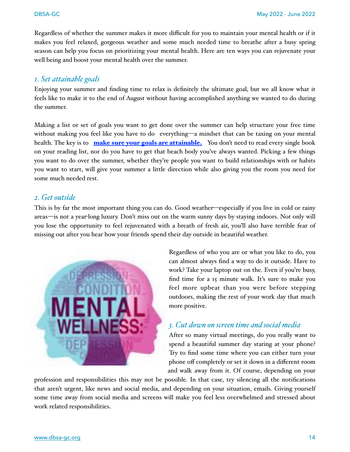Regardless of whether the summer makes it more difficult for you to maintain your mental health or if it makes you feel relaxed, gorgeous weather and some much needed time to breathe after a busy spring season can help you focus on prioritizing your mental health. Here are ten ways you can rejuvenate your well being and boost your mental health over the summer.

### *1. Set attainable goals*

Enjoying your summer and finding time to relax is definitely the ultimate goal, but we all know what it feels like to make it to the end of August without having accomplished anything we wanted to do during the summer.

Making a list or set of goals you want to get done over the summer can help structure your free time without making you feel like you have to do everything—a mindset that can be taxing on your mental health. The key is to **[make sure your goals are attainable.](https://www.mindtools.com/pages/article/newHTE_90.htm)** You don't need to read every single book on your reading list, nor do you have to get that beach body you've always wanted. Picking a few things you want to do over the summer, whether they're people you want to build relationships with or habits you want to start, will give your summer a little direction while also giving you the room you need for some much needed rest.

### *2. Get outside*

This is by far the most important thing you can do. Good weather—especially if you live in cold or rainy areas—is not a year-long luxury. Don't miss out on the warm sunny days by staying indoors. Not only will you lose the opportunity to feel rejuvenated with a breath of fresh air, you'll also have terrible fear of missing out after you hear how your friends spend their day outside in beautiful weather.



Regardless of who you are or what you like to do, you can almost always find a way to do it outside. Have to work? Take your laptop out on the. Even if you're busy, find time for a 15 minute walk. It's sure to make you feel more upbeat than you were before stepping outdoors, making the rest of your work day that much more positive.

### *3. Cut down on screen time and social media*

After so many virtual meetings, do you really want to spend a beautiful summer day staring at your phone? Try to find some time where you can either turn your phone off completely or set it down in a different room and walk away from it. Of course, depending on your

profession and responsibilities this may not be possible. In that case, try silencing all the notifications that aren't urgent, like news and social media, and depending on your situation, emails. Giving yourself some time away from social media and screens will make you feel less overwhelmed and stressed about work related responsibilities.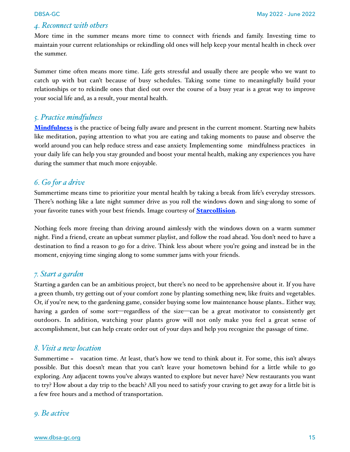### *4. Reconnect with others*

More time in the summer means more time to connect with friends and family. Investing time to maintain your current relationships or rekindling old ones will help keep your mental health in check over the summer.

Summer time often means more time. Life gets stressful and usually there are people who we want to catch up with but can't because of busy schedules. Taking some time to meaningfully build your relationships or to rekindle ones that died out over the course of a busy year is a great way to improve your social life and, as a result, your mental health.

### *5. Practice mindfulness*

**[Mindfulness](https://www.mindful.org/what-is-mindfulness/)** is the practice of being fully aware and present in the current moment. Starting new habits like meditation, paying attention to what you are eating and taking moments to pause and observe the world around you can help reduce stress and ease anxiety. Implementing some [mindfulness practices](https://www.mindful.org/take-a-mindful-moment-5-simple-practices-for-daily-life/) in your daily life can help you stay grounded and boost your mental health, making any experiences you have during the summer that much more enjoyable.

### *6. Go for a drive*

Summertime means time to prioritize your mental health by taking a break from life's everyday stressors. There's nothing like a late night summer drive as you roll the windows down and sing-along to some of your favorite tunes with your best friends. Image courtesy of **[Starcollision](https://www.starcollision.com/)**.

Nothing feels more freeing than driving around aimlessly with the windows down on a warm summer night. Find a friend, create an upbeat summer playlist, and follow the road ahead. You don't need to have a destination to find a reason to go for a drive. Think less about where you're going and instead be in the moment, enjoying time singing along to some summer jams with your friends.

### *7. Start a garden*

Starting a garden can be an ambitious project, but there's no need to be apprehensive about it. If you have a green thumb, try getting out of your comfort zone by planting something new, like fruits and vegetables. Or, if you're new, to the gardening game, consider buying some low maintenance house plants.. Either way, having a garden of some sort—regardless of the size—can be a great motivator to consistently get outdoors. In addition, watching your plants grow will not only make you feel a great sense of accomplishment, but can help create order out of your days and help you recognize the passage of time.

### *8. Visit a new location*

Summertime = vacation time. At least, that's how we tend to think about it. For some, this isn't always possible. But this doesn't mean that you can't leave your hometown behind for a little while to go exploring. Any adjacent towns you've always wanted to explore but never have? New restaurants you want to try? How about a day trip to the beach? All you need to satisfy your craving to get away for a little bit is a few free hours and a method of transportation.

### *9. Be active*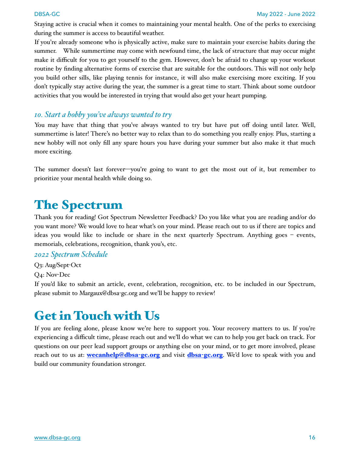Staying active is crucial when it comes to maintaining your mental health. One of the perks to exercising during the summer is access to beautiful weather.

If you're already someone who is physically active, make sure to maintain your exercise habits during the summer. While summertime may come with newfound time, the lack of structure that may occur might make it difficult for you to get yourself to the gym. However, don't be afraid to change up your workout routine by finding alternative forms of exercise that are suitable for the outdoors. This will not only help you build other sills, like playing tennis for instance, it will also make exercising more exciting. If you don't typically stay active during the year, the summer is a great time to start. Think about some outdoor activities that you would be interested in trying that would also get your heart pumping.

### *10. Start a hobby you've always wanted to try*

You may have that thing that you've always wanted to try but have put off doing until later. Well, summertime is later! There's no better way to relax than to do something you really enjoy. Plus, starting a new hobby will not only fill any spare hours you have during your summer but also make it that much more exciting.

The summer doesn't last forever—you're going to want to get the most out of it, but remember to prioritize your mental health while doing so.

# The Spectrum

Thank you for reading! Got Spectrum Newsletter Feedback? Do you like what you are reading and/or do you want more? We would love to hear what's on your mind. Please reach out to us if there are topics and ideas you would like to include or share in the next quarterly Spectrum. Anything goes – events, memorials, celebrations, recognition, thank you's, etc.

### *2022 Spectrum Schedule*

Q3: Aug/Sept-Oct

Q4: Nov-Dec

If you'd like to submit an article, event, celebration, recognition, etc. to be included in our Spectrum, please submit to [Margaux@dbsa](mailto:Margaux@dbsa-gc.org)-gc.org and we'll be happy to review!

# Get in Touch with Us

If you are feeling alone, please know we're here to support you. Your recovery matters to us. If you're experiencing a difficult time, please reach out and we'll do what we can to help you get back on track. For questions on our peer lead support groups or anything else on your mind, or to get more involved, please reach out to us at: **we can help@dbsa-[gc.org](http://dbsa-gc.org)** and visit **dbsa-gc.org**. We'd love to speak with you and build our community foundation stronger.